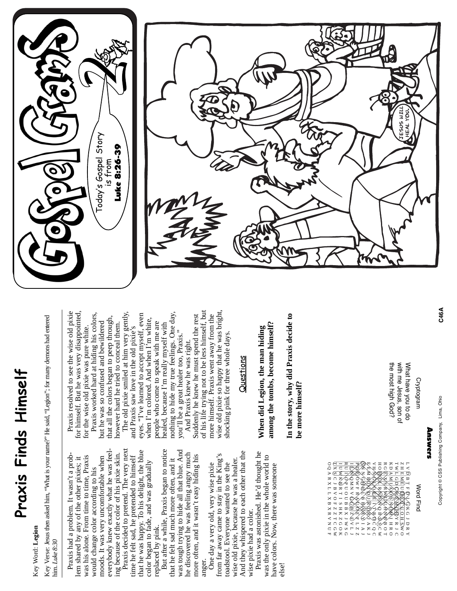## Praxis Finds Himself **Praxis Finds Himself**

## Key Word: Legion Key Word: **Legion**

Key Verse: Jesus then asked him, "What is your name?" He said, "Legion"; for many demons had entered Key Verse: Jesus then asked him, "What is your name?" He said, "Legion"; for many demons had entered him. Luke 8:30 him. *Luke 8:30*

everybody knew exactly what he was feeleverybody knew exactly what he was feeling because of the color of his pixie skin.<br>Praxis decided to pretend. The very next ing because of the color of his pixie skin. Praxis had a problem. It wasn't a prob-Praxis had a problem. It wasn't a probwas his alone. From time to time, Praxis moods. It was very uncomfortable when lem shared by any of the other pixies; it was his alone. From time to time, Praxis moods. It was very uncomfortable when lem shared by any of the other pixies; it would change color according to his would change color according to his

Praxis decided to pretend. The very next that he was happy. To his delight, the blue that he was happy. To his delight, the blue time he felt sad, he pretended to himself time he felt sad, he pretended to himself color began to fade, and was gradually color began to fade, and was gradually replaced by pink. replaced by pink.

But after a while, Praxis began to notice But after a while, Praxis began to notice was tough trying to hide all that blue. And was tough trying to hide all that blue. And he discovered he was feeling angry much he discovered he was feeling angry much more often, and it wasn't easy hiding his more often, and it wasn't easy hiding his that he felt sad much more often, and it that he felt sad much more often, and it anger.

And they whispered to each other that the And they whispered to each other that the from far away came to stay in the King's from far away came to stay in the King's wise old pixie, because he was a healer. wise old pixie, because he was a healer. toadstool. Everyone wanted to see the One day a very old, very wise pixie One day a very old, very wise pixie toadstool. Everyone wanted to see the wise pixie had a color. wise pixie had a color.

Praxis was astonished. He'd thought he Praxis was astonished. He'd thought he was the only pixie in the whole world to was the only pixie in the whole world to have colors. Now, there was someone have colors. Now, there was someone else!

Praxis resolved to see the wise old pixie Praxis resolved to see the wise old pixie for himself. But he was very disappointed, for himself. But he was very disappointed, for the wise old pixie was pure white. for the wise old pixie was pure white.

Praxis worked hard at hiding his colors, Praxis worked hard at hiding his colors, The old pixie smiled at him very gently, that all the colors began to peep through, that all the colors began to peep through, but he was so confused and bewildered however hard he tried to conceal them. but he was so confused and bewildered nowever hard he tried to conceal them.

The old pixie smiled at him very gently, nothing to hide my true feelings. One day, eyes. "I've learned to accept myself, even nothing to hide my true feelings. One day, eyes. "I've learned to accept myself, even when I'm colored. And when I'm white, when I'm colored. And when I'm white, people who come to speak with me are healed, because I'm really myself with people who come to speak with me are and Praxis saw love in the old pixie's healed, because I'm really myself with and Praxis saw love in the old pixie's you'll be a great healer too, Praxis." you'll be a great healer too, Praxis.'

of his life trying not to be less himself, but wise old pixie so happy that he was bright, of his life trying not to be less himself, but wise old pixie so happy that he was bright more himself. Praxis went away from the Suddenly he knew he must spend the rest Suddenly he knew he must spend the rest more himself. Praxis went away from the shocking pink for three whole days. shocking pink for three whole days. And Praxis knew he was right. And Praxis knew he was right.

## Questions

among the tombs, become himself? **among the tombs, become himself?** When did Legion, the man hiding **When did Legion, the man hiding**

In the story, why did Praxis decide to **In the story, why did Praxis decide to** be more himself? **be more himself?**

| o×⊂⊂C<br>≻ তে হ ন<br>ヌロズ<br>にしっぽく<br>又乙HB(B | ⁄o, | ćŋ.<br>ਸ ≥ ⊅ ∞ → ×<br>コロスロコ<br>ロ く H O < 双<br>× ○ − ⊂ ©∕≻<br>□<br>ヌNスXN包<br>$<$ $\rightarrow$ N $\rightarrow$ (n/m | ⋐<br>Œ<br>₩ | ⊞<br>$\pm$<br>ᇚ<br>Z<br>(⊶<br>団<br>ロマロ リペクレ トコレンシロロス<br>KSPROGRKKHMOGD<br>ヨ ぬ N ワ I Z I I O M I O O O C I | <b>KHRRHNT</b><br>ಹ | ಱ | $\overline{ }$ | . E<br>c<br>≍ ⊨ | $O$ $O$ $O$ $E$ $E$ $<$<br>णि मि द(सि<br>$Z \Omega Z \Xi$<br>ᆔ<br>ㅈ<br>ດ | Mord<br>Find |
|---------------------------------------------|-----|--------------------------------------------------------------------------------------------------------------------|-------------|-----------------------------------------------------------------------------------------------------------|---------------------|---|----------------|-----------------|--------------------------------------------------------------------------|--------------|
|                                             |     |                                                                                                                    |             |                                                                                                           |                     |   |                |                 |                                                                          |              |

Cryptogram Cryptogram

the most high God? with me Jesus, son of What have you to do the most high God? with me Jesus, son of What have you to do





*C46A*

Copyright @ CSS Publishing Company, Lima, Ohio Copyright © CSS Publishing Company, Lima, Ohio

Answers

Answers